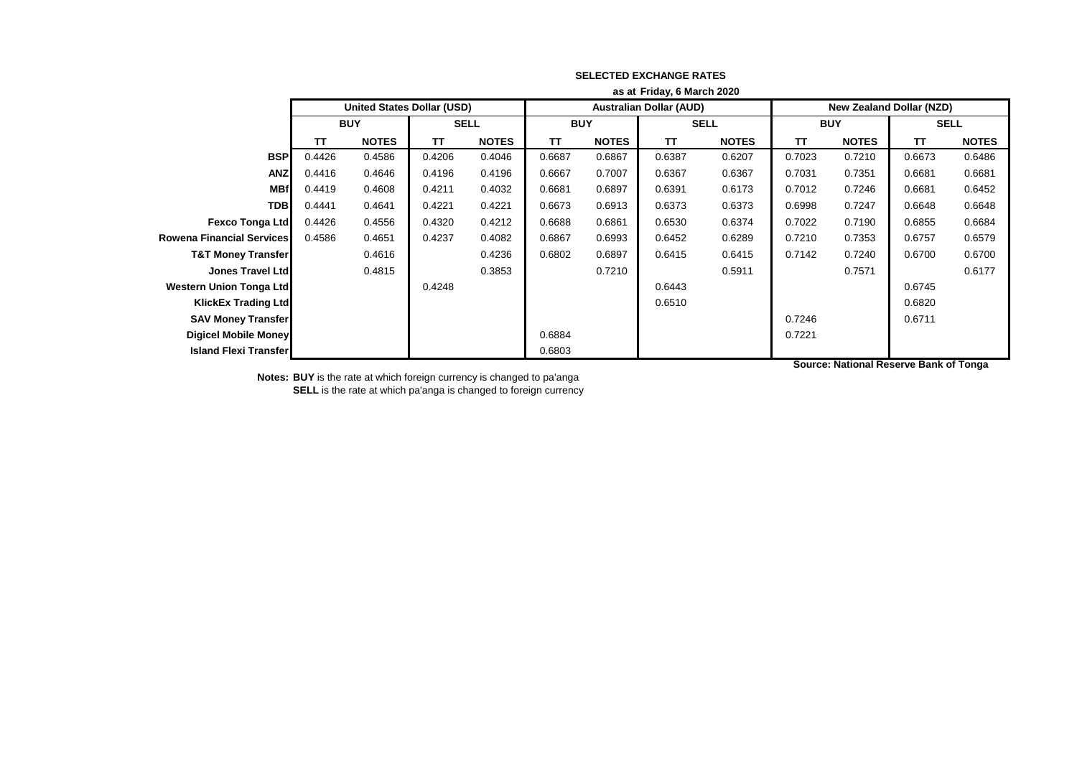|                                  | as at Friday, 6 March 2020 |                                   |             |              |            |              |                                |              |                                 |              |             |              |  |
|----------------------------------|----------------------------|-----------------------------------|-------------|--------------|------------|--------------|--------------------------------|--------------|---------------------------------|--------------|-------------|--------------|--|
|                                  |                            | <b>United States Dollar (USD)</b> |             |              |            |              | <b>Australian Dollar (AUD)</b> |              | <b>New Zealand Dollar (NZD)</b> |              |             |              |  |
|                                  | <b>BUY</b>                 |                                   | <b>SELL</b> |              | <b>BUY</b> |              | <b>SELL</b>                    |              | <b>BUY</b>                      |              | <b>SELL</b> |              |  |
|                                  | TΤ                         | <b>NOTES</b>                      | <b>TT</b>   | <b>NOTES</b> | TΤ         | <b>NOTES</b> | <b>TT</b>                      | <b>NOTES</b> | <b>TT</b>                       | <b>NOTES</b> | <b>TT</b>   | <b>NOTES</b> |  |
| <b>BSP</b>                       | 0.4426                     | 0.4586                            | 0.4206      | 0.4046       | 0.6687     | 0.6867       | 0.6387                         | 0.6207       | 0.7023                          | 0.7210       | 0.6673      | 0.6486       |  |
| <b>ANZ</b>                       | 0.4416                     | 0.4646                            | 0.4196      | 0.4196       | 0.6667     | 0.7007       | 0.6367                         | 0.6367       | 0.7031                          | 0.7351       | 0.6681      | 0.6681       |  |
| <b>MBf</b>                       | 0.4419                     | 0.4608                            | 0.4211      | 0.4032       | 0.6681     | 0.6897       | 0.6391                         | 0.6173       | 0.7012                          | 0.7246       | 0.6681      | 0.6452       |  |
| <b>TDB</b>                       | 0.4441                     | 0.4641                            | 0.4221      | 0.4221       | 0.6673     | 0.6913       | 0.6373                         | 0.6373       | 0.6998                          | 0.7247       | 0.6648      | 0.6648       |  |
| <b>Fexco Tonga Ltd</b>           | 0.4426                     | 0.4556                            | 0.4320      | 0.4212       | 0.6688     | 0.6861       | 0.6530                         | 0.6374       | 0.7022                          | 0.7190       | 0.6855      | 0.6684       |  |
| <b>Rowena Financial Services</b> | 0.4586                     | 0.4651                            | 0.4237      | 0.4082       | 0.6867     | 0.6993       | 0.6452                         | 0.6289       | 0.7210                          | 0.7353       | 0.6757      | 0.6579       |  |
| <b>T&amp;T Money Transfer</b>    |                            | 0.4616                            |             | 0.4236       | 0.6802     | 0.6897       | 0.6415                         | 0.6415       | 0.7142                          | 0.7240       | 0.6700      | 0.6700       |  |
| <b>Jones Travel Ltd</b>          |                            | 0.4815                            |             | 0.3853       |            | 0.7210       |                                | 0.5911       |                                 | 0.7571       |             | 0.6177       |  |
| <b>Western Union Tonga Ltd</b>   |                            |                                   | 0.4248      |              |            |              | 0.6443                         |              |                                 |              | 0.6745      |              |  |
| <b>KlickEx Trading Ltd</b>       |                            |                                   |             |              |            |              | 0.6510                         |              |                                 |              | 0.6820      |              |  |
| <b>SAV Money Transfer</b>        |                            |                                   |             |              |            |              |                                |              | 0.7246                          |              | 0.6711      |              |  |
| Digicel Mobile Money             |                            |                                   |             |              | 0.6884     |              |                                |              | 0.7221                          |              |             |              |  |
| <b>Island Flexi Transfer</b>     |                            |                                   |             |              | 0.6803     |              |                                |              |                                 |              |             |              |  |

**Notes: BUY** is the rate at which foreign currency is changed to pa'anga **SELL** is the rate at which pa'anga is changed to foreign currency **Source: National Reserve Bank of Tonga**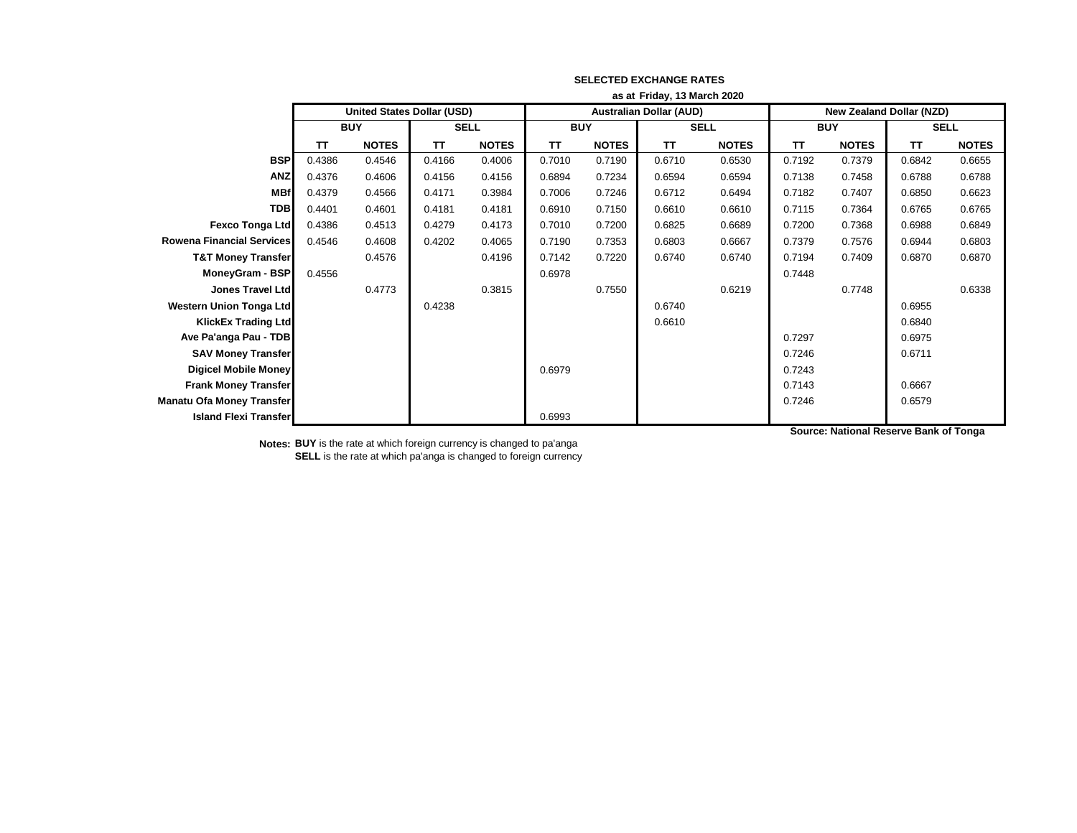|                                  | as at Friday, 13 March 2020 |                                   |             |              |                                |              |             |              |                                 |              |             |              |
|----------------------------------|-----------------------------|-----------------------------------|-------------|--------------|--------------------------------|--------------|-------------|--------------|---------------------------------|--------------|-------------|--------------|
|                                  |                             | <b>United States Dollar (USD)</b> |             |              | <b>Australian Dollar (AUD)</b> |              |             |              | <b>New Zealand Dollar (NZD)</b> |              |             |              |
|                                  | <b>BUY</b>                  |                                   | <b>SELL</b> |              | <b>BUY</b>                     |              | <b>SELL</b> |              | <b>BUY</b>                      |              | <b>SELL</b> |              |
|                                  | TΤ                          | <b>NOTES</b>                      | TΤ          | <b>NOTES</b> | ΤT                             | <b>NOTES</b> | <b>TT</b>   | <b>NOTES</b> | ΤT                              | <b>NOTES</b> | TT          | <b>NOTES</b> |
| <b>BSP</b>                       | 0.4386                      | 0.4546                            | 0.4166      | 0.4006       | 0.7010                         | 0.7190       | 0.6710      | 0.6530       | 0.7192                          | 0.7379       | 0.6842      | 0.6655       |
| <b>ANZ</b>                       | 0.4376                      | 0.4606                            | 0.4156      | 0.4156       | 0.6894                         | 0.7234       | 0.6594      | 0.6594       | 0.7138                          | 0.7458       | 0.6788      | 0.6788       |
| <b>MBf</b>                       | 0.4379                      | 0.4566                            | 0.4171      | 0.3984       | 0.7006                         | 0.7246       | 0.6712      | 0.6494       | 0.7182                          | 0.7407       | 0.6850      | 0.6623       |
| <b>TDB</b>                       | 0.4401                      | 0.4601                            | 0.4181      | 0.4181       | 0.6910                         | 0.7150       | 0.6610      | 0.6610       | 0.7115                          | 0.7364       | 0.6765      | 0.6765       |
| <b>Fexco Tonga Ltd</b>           | 0.4386                      | 0.4513                            | 0.4279      | 0.4173       | 0.7010                         | 0.7200       | 0.6825      | 0.6689       | 0.7200                          | 0.7368       | 0.6988      | 0.6849       |
| <b>Rowena Financial Services</b> | 0.4546                      | 0.4608                            | 0.4202      | 0.4065       | 0.7190                         | 0.7353       | 0.6803      | 0.6667       | 0.7379                          | 0.7576       | 0.6944      | 0.6803       |
| <b>T&amp;T Money Transfer</b>    |                             | 0.4576                            |             | 0.4196       | 0.7142                         | 0.7220       | 0.6740      | 0.6740       | 0.7194                          | 0.7409       | 0.6870      | 0.6870       |
| MoneyGram - BSP                  | 0.4556                      |                                   |             |              | 0.6978                         |              |             |              | 0.7448                          |              |             |              |
| <b>Jones Travel Ltd</b>          |                             | 0.4773                            |             | 0.3815       |                                | 0.7550       |             | 0.6219       |                                 | 0.7748       |             | 0.6338       |
| <b>Western Union Tonga Ltd</b>   |                             |                                   | 0.4238      |              |                                |              | 0.6740      |              |                                 |              | 0.6955      |              |
| <b>KlickEx Trading Ltd</b>       |                             |                                   |             |              |                                |              | 0.6610      |              |                                 |              | 0.6840      |              |
| Ave Pa'anga Pau - TDB            |                             |                                   |             |              |                                |              |             |              | 0.7297                          |              | 0.6975      |              |
| <b>SAV Money Transfer</b>        |                             |                                   |             |              |                                |              |             |              | 0.7246                          |              | 0.6711      |              |
| <b>Digicel Mobile Money</b>      |                             |                                   |             |              | 0.6979                         |              |             |              | 0.7243                          |              |             |              |
| <b>Frank Money Transfer</b>      |                             |                                   |             |              |                                |              |             |              | 0.7143                          |              | 0.6667      |              |
| <b>Manatu Ofa Money Transfer</b> |                             |                                   |             |              |                                |              |             |              | 0.7246                          |              | 0.6579      |              |
| <b>Island Flexi Transfer</b>     |                             |                                   |             |              | 0.6993                         |              |             |              |                                 |              |             |              |

**Notes: BUY** is the rate at which foreign currency is changed to pa'anga **SELL** is the rate at which pa'anga is changed to foreign currency **Source: National Reserve Bank of Tonga**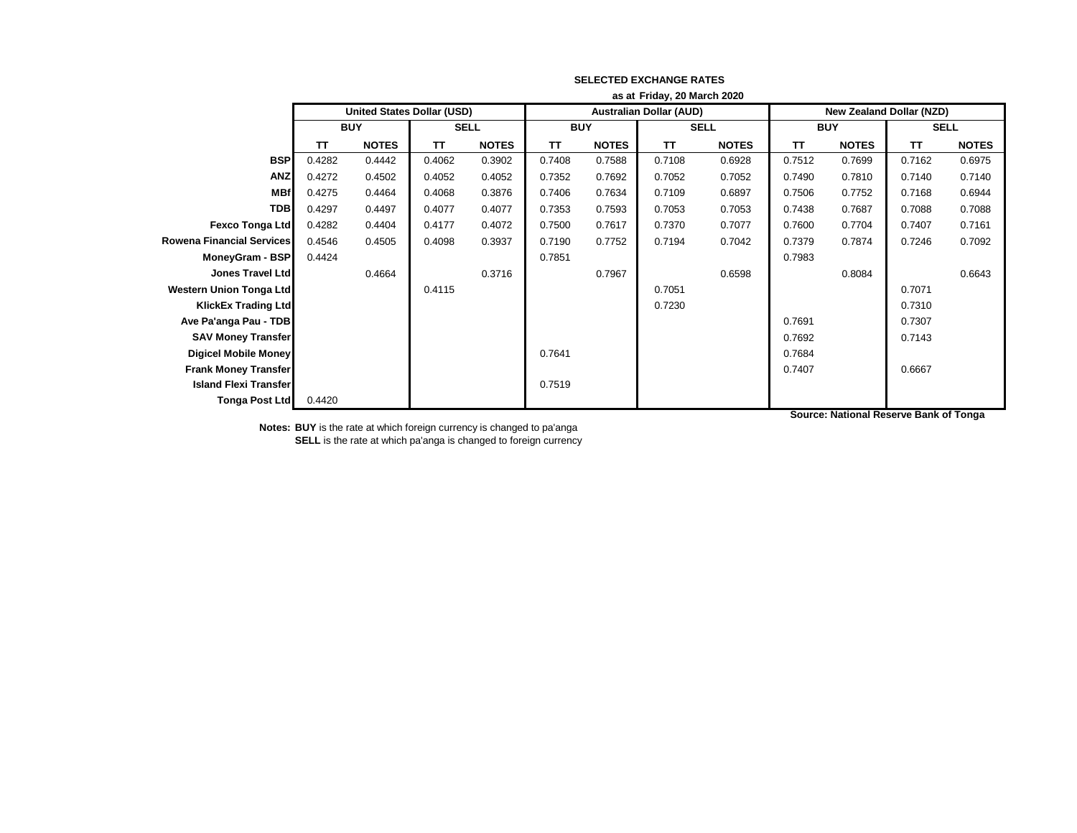|                                  | as at Friday, 20 March 2020 |                                   |             |              |            |              |                                |              |                                 |              |             |              |
|----------------------------------|-----------------------------|-----------------------------------|-------------|--------------|------------|--------------|--------------------------------|--------------|---------------------------------|--------------|-------------|--------------|
|                                  |                             | <b>United States Dollar (USD)</b> |             |              |            |              | <b>Australian Dollar (AUD)</b> |              | <b>New Zealand Dollar (NZD)</b> |              |             |              |
|                                  |                             | <b>BUY</b>                        | <b>SELL</b> |              | <b>BUY</b> |              | <b>SELL</b>                    |              | <b>BUY</b>                      |              | <b>SELL</b> |              |
|                                  | <b>TT</b>                   | <b>NOTES</b>                      | TΤ          | <b>NOTES</b> | <b>TT</b>  | <b>NOTES</b> | <b>TT</b>                      | <b>NOTES</b> | <b>TT</b>                       | <b>NOTES</b> | <b>TT</b>   | <b>NOTES</b> |
| <b>BSP</b>                       | 0.4282                      | 0.4442                            | 0.4062      | 0.3902       | 0.7408     | 0.7588       | 0.7108                         | 0.6928       | 0.7512                          | 0.7699       | 0.7162      | 0.6975       |
| <b>ANZ</b>                       | 0.4272                      | 0.4502                            | 0.4052      | 0.4052       | 0.7352     | 0.7692       | 0.7052                         | 0.7052       | 0.7490                          | 0.7810       | 0.7140      | 0.7140       |
| <b>MBf</b>                       | 0.4275                      | 0.4464                            | 0.4068      | 0.3876       | 0.7406     | 0.7634       | 0.7109                         | 0.6897       | 0.7506                          | 0.7752       | 0.7168      | 0.6944       |
| <b>TDB</b>                       | 0.4297                      | 0.4497                            | 0.4077      | 0.4077       | 0.7353     | 0.7593       | 0.7053                         | 0.7053       | 0.7438                          | 0.7687       | 0.7088      | 0.7088       |
| <b>Fexco Tonga Ltd</b>           | 0.4282                      | 0.4404                            | 0.4177      | 0.4072       | 0.7500     | 0.7617       | 0.7370                         | 0.7077       | 0.7600                          | 0.7704       | 0.7407      | 0.7161       |
| <b>Rowena Financial Services</b> | 0.4546                      | 0.4505                            | 0.4098      | 0.3937       | 0.7190     | 0.7752       | 0.7194                         | 0.7042       | 0.7379                          | 0.7874       | 0.7246      | 0.7092       |
| MoneyGram - BSP                  | 0.4424                      |                                   |             |              | 0.7851     |              |                                |              | 0.7983                          |              |             |              |
| Jones Travel Ltd                 |                             | 0.4664                            |             | 0.3716       |            | 0.7967       |                                | 0.6598       |                                 | 0.8084       |             | 0.6643       |
| <b>Western Union Tonga Ltd</b>   |                             |                                   | 0.4115      |              |            |              | 0.7051                         |              |                                 |              | 0.7071      |              |
| <b>KlickEx Trading Ltd</b>       |                             |                                   |             |              |            |              | 0.7230                         |              |                                 |              | 0.7310      |              |
| Ave Pa'anga Pau - TDB            |                             |                                   |             |              |            |              |                                |              | 0.7691                          |              | 0.7307      |              |
| <b>SAV Money Transfer</b>        |                             |                                   |             |              |            |              |                                |              | 0.7692                          |              | 0.7143      |              |
| <b>Digicel Mobile Money</b>      |                             |                                   |             |              | 0.7641     |              |                                |              | 0.7684                          |              |             |              |
| <b>Frank Money Transfer</b>      |                             |                                   |             |              |            |              |                                |              | 0.7407                          |              | 0.6667      |              |
| <b>Island Flexi Transfer</b>     |                             |                                   |             |              | 0.7519     |              |                                |              |                                 |              |             |              |
| <b>Tonga Post Ltd</b>            | 0.4420                      |                                   |             |              |            |              |                                |              |                                 |              |             |              |

**Source: National Reserve Bank of Tonga**

**Notes: BUY** is the rate at which foreign currency is changed to pa'anga **SELL** is the rate at which pa'anga is changed to foreign currency